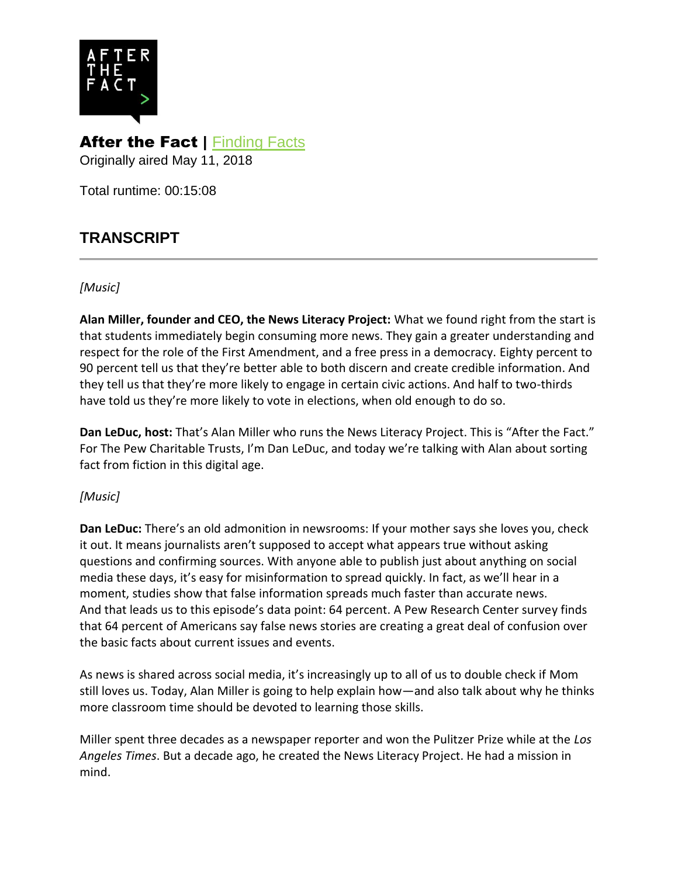

## After the Fact | [Finding Facts](http://www.pewtrusts.org/en/multimedia/audio/2018/finding-facts) Originally aired May 11, 2018

Total runtime: 00:15:08

# **TRANSCRIPT**

#### *[Music]*

**Alan Miller, founder and CEO, the News Literacy Project:** What we found right from the start is that students immediately begin consuming more news. They gain a greater understanding and respect for the role of the First Amendment, and a free press in a democracy. Eighty percent to 90 percent tell us that they're better able to both discern and create credible information. And they tell us that they're more likely to engage in certain civic actions. And half to two-thirds have told us they're more likely to vote in elections, when old enough to do so.

**Dan LeDuc, host:** That's Alan Miller who runs the News Literacy Project. This is "After the Fact." For The Pew Charitable Trusts, I'm Dan LeDuc, and today we're talking with Alan about sorting fact from fiction in this digital age.

### *[Music]*

**Dan LeDuc:** There's an old admonition in newsrooms: If your mother says she loves you, check it out. It means journalists aren't supposed to accept what appears true without asking questions and confirming sources. With anyone able to publish just about anything on social media these days, it's easy for misinformation to spread quickly. In fact, as we'll hear in a moment, studies show that false information spreads much faster than accurate news. And that leads us to this episode's data point: 64 percent. A Pew Research Center survey finds that 64 percent of Americans say false news stories are creating a great deal of confusion over the basic facts about current issues and events.

As news is shared across social media, it's increasingly up to all of us to double check if Mom still loves us. Today, Alan Miller is going to help explain how—and also talk about why he thinks more classroom time should be devoted to learning those skills.

Miller spent three decades as a newspaper reporter and won the Pulitzer Prize while at the *Los Angeles Times*. But a decade ago, he created the News Literacy Project. He had a mission in mind.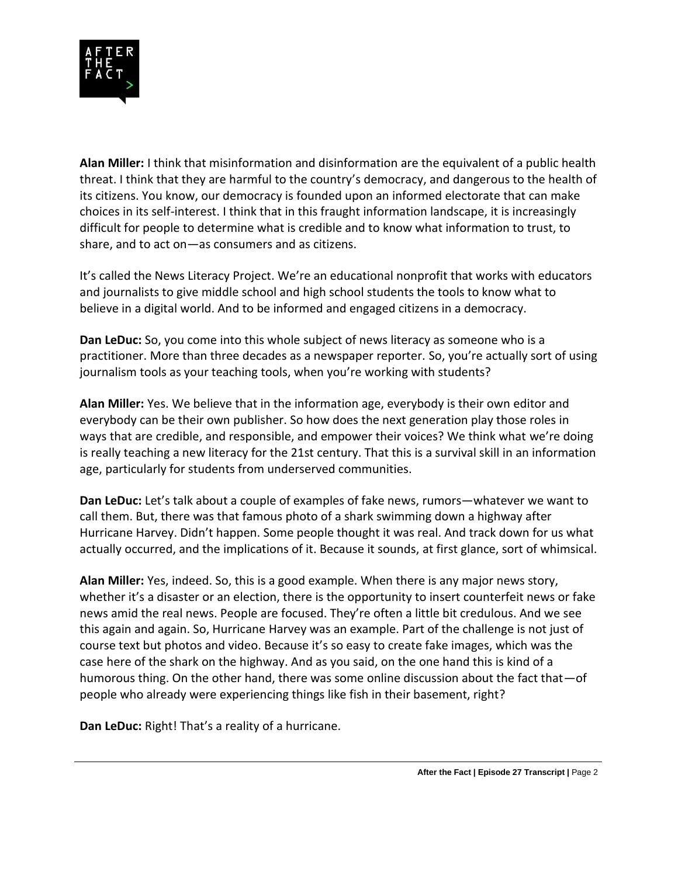

**Alan Miller:** I think that misinformation and disinformation are the equivalent of a public health threat. I think that they are harmful to the country's democracy, and dangerous to the health of its citizens. You know, our democracy is founded upon an informed electorate that can make choices in its self-interest. I think that in this fraught information landscape, it is increasingly difficult for people to determine what is credible and to know what information to trust, to share, and to act on—as consumers and as citizens.

It's called the News Literacy Project. We're an educational nonprofit that works with educators and journalists to give middle school and high school students the tools to know what to believe in a digital world. And to be informed and engaged citizens in a democracy.

**Dan LeDuc:** So, you come into this whole subject of news literacy as someone who is a practitioner. More than three decades as a newspaper reporter. So, you're actually sort of using journalism tools as your teaching tools, when you're working with students?

**Alan Miller:** Yes. We believe that in the information age, everybody is their own editor and everybody can be their own publisher. So how does the next generation play those roles in ways that are credible, and responsible, and empower their voices? We think what we're doing is really teaching a new literacy for the 21st century. That this is a survival skill in an information age, particularly for students from underserved communities.

**Dan LeDuc:** Let's talk about a couple of examples of fake news, rumors—whatever we want to call them. But, there was that famous photo of a shark swimming down a highway after Hurricane Harvey. Didn't happen. Some people thought it was real. And track down for us what actually occurred, and the implications of it. Because it sounds, at first glance, sort of whimsical.

**Alan Miller:** Yes, indeed. So, this is a good example. When there is any major news story, whether it's a disaster or an election, there is the opportunity to insert counterfeit news or fake news amid the real news. People are focused. They're often a little bit credulous. And we see this again and again. So, Hurricane Harvey was an example. Part of the challenge is not just of course text but photos and video. Because it's so easy to create fake images, which was the case here of the shark on the highway. And as you said, on the one hand this is kind of a humorous thing. On the other hand, there was some online discussion about the fact that—of people who already were experiencing things like fish in their basement, right?

**Dan LeDuc:** Right! That's a reality of a hurricane.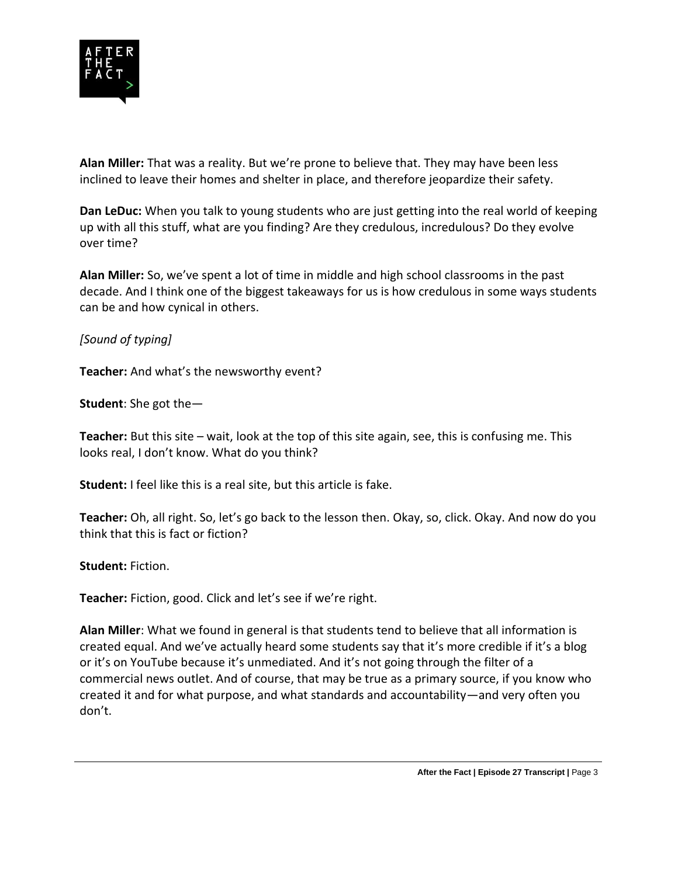

**Alan Miller:** That was a reality. But we're prone to believe that. They may have been less inclined to leave their homes and shelter in place, and therefore jeopardize their safety.

**Dan LeDuc:** When you talk to young students who are just getting into the real world of keeping up with all this stuff, what are you finding? Are they credulous, incredulous? Do they evolve over time?

**Alan Miller:** So, we've spent a lot of time in middle and high school classrooms in the past decade. And I think one of the biggest takeaways for us is how credulous in some ways students can be and how cynical in others.

### *[Sound of typing]*

**Teacher:** And what's the newsworthy event?

**Student**: She got the—

**Teacher:** But this site – wait, look at the top of this site again, see, this is confusing me. This looks real, I don't know. What do you think?

**Student:** I feel like this is a real site, but this article is fake.

**Teacher:** Oh, all right. So, let's go back to the lesson then. Okay, so, click. Okay. And now do you think that this is fact or fiction?

**Student:** Fiction.

**Teacher:** Fiction, good. Click and let's see if we're right.

**Alan Miller**: What we found in general is that students tend to believe that all information is created equal. And we've actually heard some students say that it's more credible if it's a blog or it's on YouTube because it's unmediated. And it's not going through the filter of a commercial news outlet. And of course, that may be true as a primary source, if you know who created it and for what purpose, and what standards and accountability—and very often you don't.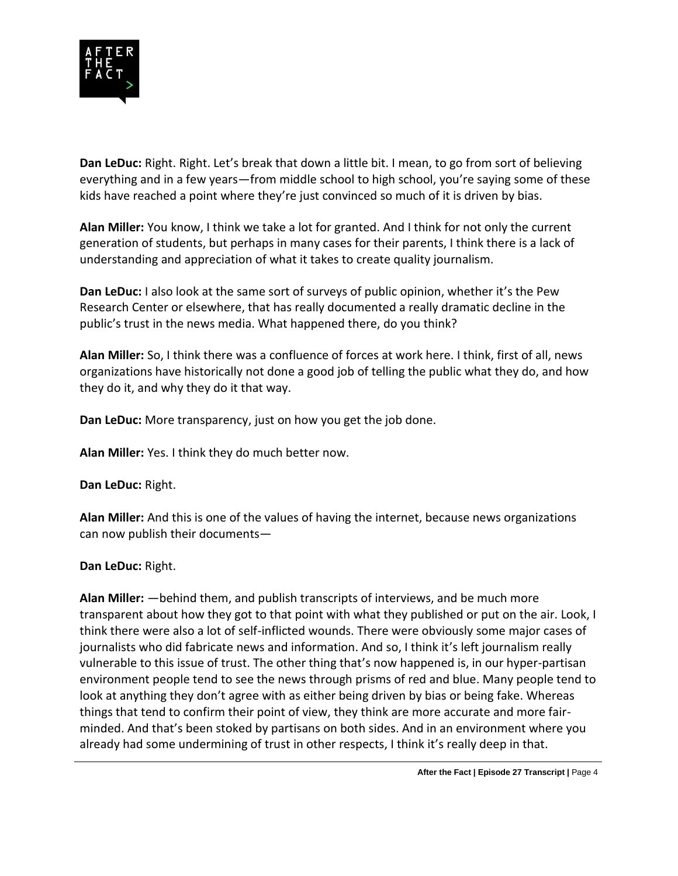

**Dan LeDuc:** Right. Right. Let's break that down a little bit. I mean, to go from sort of believing everything and in a few years—from middle school to high school, you're saying some of these kids have reached a point where they're just convinced so much of it is driven by bias.

**Alan Miller:** You know, I think we take a lot for granted. And I think for not only the current generation of students, but perhaps in many cases for their parents, I think there is a lack of understanding and appreciation of what it takes to create quality journalism.

**Dan LeDuc:** I also look at the same sort of surveys of public opinion, whether it's the Pew Research Center or elsewhere, that has really documented a really dramatic decline in the public's trust in the news media. What happened there, do you think?

**Alan Miller:** So, I think there was a confluence of forces at work here. I think, first of all, news organizations have historically not done a good job of telling the public what they do, and how they do it, and why they do it that way.

**Dan LeDuc:** More transparency, just on how you get the job done.

**Alan Miller:** Yes. I think they do much better now.

**Dan LeDuc:** Right.

**Alan Miller:** And this is one of the values of having the internet, because news organizations can now publish their documents—

#### **Dan LeDuc:** Right.

**Alan Miller:** —behind them, and publish transcripts of interviews, and be much more transparent about how they got to that point with what they published or put on the air. Look, I think there were also a lot of self-inflicted wounds. There were obviously some major cases of journalists who did fabricate news and information. And so, I think it's left journalism really vulnerable to this issue of trust. The other thing that's now happened is, in our hyper-partisan environment people tend to see the news through prisms of red and blue. Many people tend to look at anything they don't agree with as either being driven by bias or being fake. Whereas things that tend to confirm their point of view, they think are more accurate and more fairminded. And that's been stoked by partisans on both sides. And in an environment where you already had some undermining of trust in other respects, I think it's really deep in that.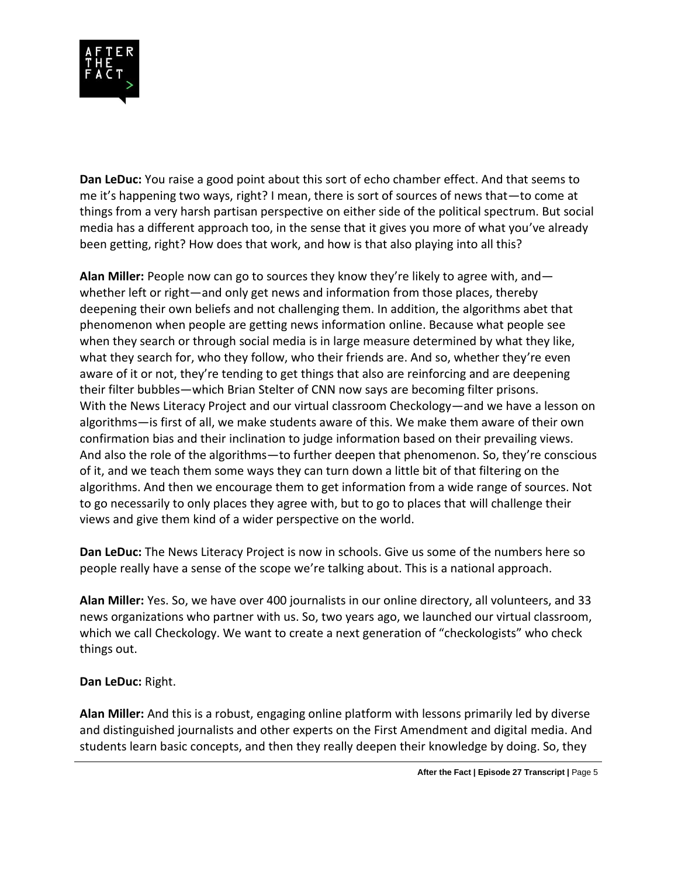

**Dan LeDuc:** You raise a good point about this sort of echo chamber effect. And that seems to me it's happening two ways, right? I mean, there is sort of sources of news that—to come at things from a very harsh partisan perspective on either side of the political spectrum. But social media has a different approach too, in the sense that it gives you more of what you've already been getting, right? How does that work, and how is that also playing into all this?

**Alan Miller:** People now can go to sources they know they're likely to agree with, and whether left or right—and only get news and information from those places, thereby deepening their own beliefs and not challenging them. In addition, the algorithms abet that phenomenon when people are getting news information online. Because what people see when they search or through social media is in large measure determined by what they like, what they search for, who they follow, who their friends are. And so, whether they're even aware of it or not, they're tending to get things that also are reinforcing and are deepening their filter bubbles—which Brian Stelter of CNN now says are becoming filter prisons. With the News Literacy Project and our virtual classroom Checkology—and we have a lesson on algorithms—is first of all, we make students aware of this. We make them aware of their own confirmation bias and their inclination to judge information based on their prevailing views. And also the role of the algorithms—to further deepen that phenomenon. So, they're conscious of it, and we teach them some ways they can turn down a little bit of that filtering on the algorithms. And then we encourage them to get information from a wide range of sources. Not to go necessarily to only places they agree with, but to go to places that will challenge their views and give them kind of a wider perspective on the world.

**Dan LeDuc:** The News Literacy Project is now in schools. Give us some of the numbers here so people really have a sense of the scope we're talking about. This is a national approach.

**Alan Miller:** Yes. So, we have over 400 journalists in our online directory, all volunteers, and 33 news organizations who partner with us. So, two years ago, we launched our virtual classroom, which we call Checkology. We want to create a next generation of "checkologists" who check things out.

#### **Dan LeDuc:** Right.

**Alan Miller:** And this is a robust, engaging online platform with lessons primarily led by diverse and distinguished journalists and other experts on the First Amendment and digital media. And students learn basic concepts, and then they really deepen their knowledge by doing. So, they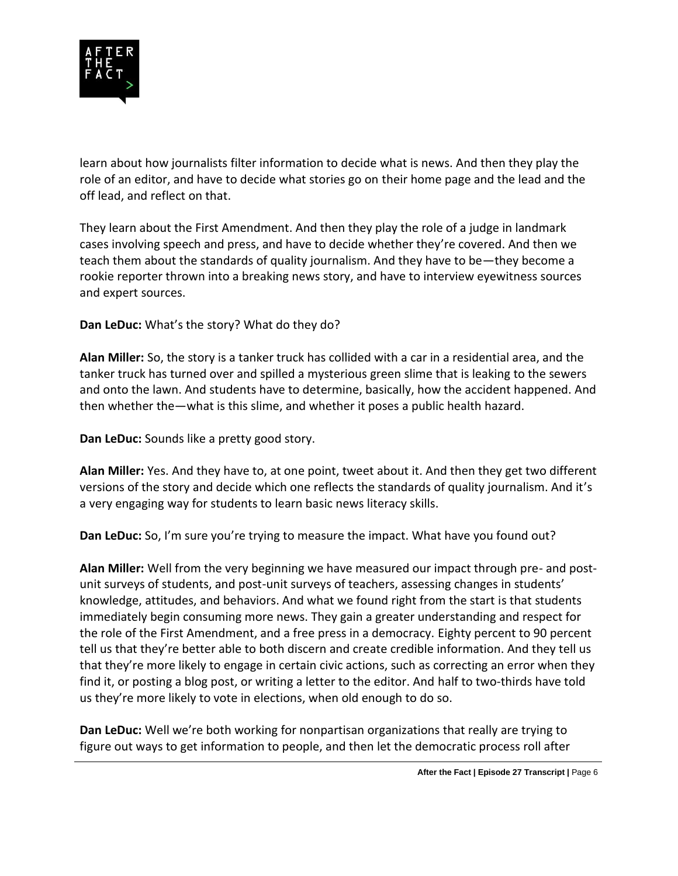

learn about how journalists filter information to decide what is news. And then they play the role of an editor, and have to decide what stories go on their home page and the lead and the off lead, and reflect on that.

They learn about the First Amendment. And then they play the role of a judge in landmark cases involving speech and press, and have to decide whether they're covered. And then we teach them about the standards of quality journalism. And they have to be—they become a rookie reporter thrown into a breaking news story, and have to interview eyewitness sources and expert sources.

**Dan LeDuc:** What's the story? What do they do?

**Alan Miller:** So, the story is a tanker truck has collided with a car in a residential area, and the tanker truck has turned over and spilled a mysterious green slime that is leaking to the sewers and onto the lawn. And students have to determine, basically, how the accident happened. And then whether the—what is this slime, and whether it poses a public health hazard.

**Dan LeDuc:** Sounds like a pretty good story.

**Alan Miller:** Yes. And they have to, at one point, tweet about it. And then they get two different versions of the story and decide which one reflects the standards of quality journalism. And it's a very engaging way for students to learn basic news literacy skills.

**Dan LeDuc:** So, I'm sure you're trying to measure the impact. What have you found out?

**Alan Miller:** Well from the very beginning we have measured our impact through pre- and postunit surveys of students, and post-unit surveys of teachers, assessing changes in students' knowledge, attitudes, and behaviors. And what we found right from the start is that students immediately begin consuming more news. They gain a greater understanding and respect for the role of the First Amendment, and a free press in a democracy. Eighty percent to 90 percent tell us that they're better able to both discern and create credible information. And they tell us that they're more likely to engage in certain civic actions, such as correcting an error when they find it, or posting a blog post, or writing a letter to the editor. And half to two-thirds have told us they're more likely to vote in elections, when old enough to do so.

**Dan LeDuc:** Well we're both working for nonpartisan organizations that really are trying to figure out ways to get information to people, and then let the democratic process roll after